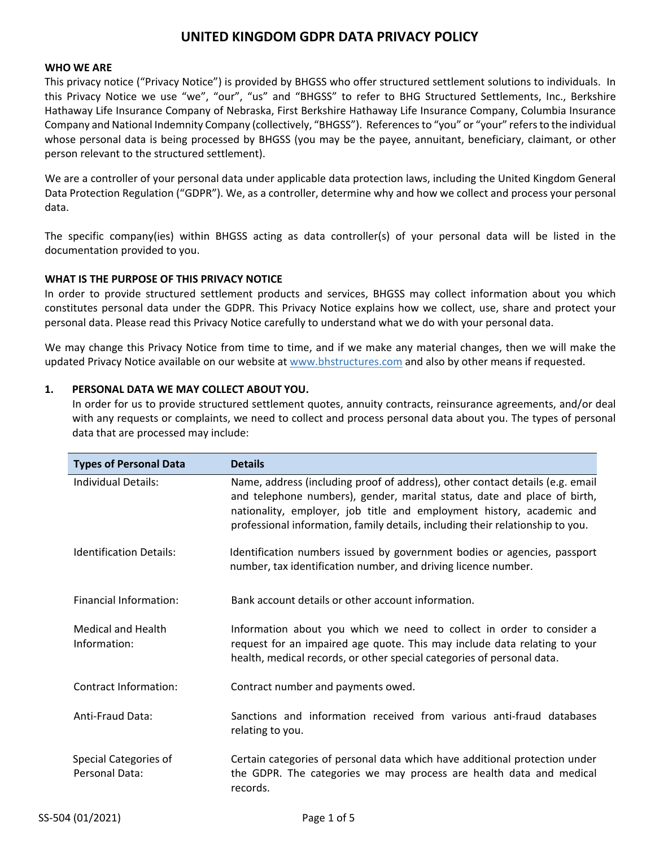#### **WHO WE ARE**

This privacy notice ("Privacy Notice") is provided by BHGSS who offer structured settlement solutions to individuals. In this Privacy Notice we use "we", "our", "us" and "BHGSS" to refer to BHG Structured Settlements, Inc., Berkshire Hathaway Life Insurance Company of Nebraska, First Berkshire Hathaway Life Insurance Company, Columbia Insurance Company and National Indemnity Company (collectively, "BHGSS"). References to "you" or "your" refers to the individual whose personal data is being processed by BHGSS (you may be the payee, annuitant, beneficiary, claimant, or other person relevant to the structured settlement).

We are a controller of your personal data under applicable data protection laws, including the United Kingdom General Data Protection Regulation ("GDPR"). We, as a controller, determine why and how we collect and process your personal data.

The specific company(ies) within BHGSS acting as data controller(s) of your personal data will be listed in the documentation provided to you.

### **WHAT IS THE PURPOSE OF THIS PRIVACY NOTICE**

In order to provide structured settlement products and services, BHGSS may collect information about you which constitutes personal data under the GDPR. This Privacy Notice explains how we collect, use, share and protect your personal data. Please read this Privacy Notice carefully to understand what we do with your personal data.

We may change this Privacy Notice from time to time, and if we make any material changes, then we will make the updated Privacy Notice available on our website at www.bhstructures.com and also by other means if requested.

## **1. PERSONAL DATA WE MAY COLLECT ABOUT YOU.**

In order for us to provide structured settlement quotes, annuity contracts, reinsurance agreements, and/or deal with any requests or complaints, we need to collect and process personal data about you. The types of personal data that are processed may include:

| <b>Types of Personal Data</b>             | <b>Details</b>                                                                                                                                                                                                                                                                                                       |  |
|-------------------------------------------|----------------------------------------------------------------------------------------------------------------------------------------------------------------------------------------------------------------------------------------------------------------------------------------------------------------------|--|
| Individual Details:                       | Name, address (including proof of address), other contact details (e.g. email<br>and telephone numbers), gender, marital status, date and place of birth,<br>nationality, employer, job title and employment history, academic and<br>professional information, family details, including their relationship to you. |  |
| Identification Details:                   | Identification numbers issued by government bodies or agencies, passport<br>number, tax identification number, and driving licence number.                                                                                                                                                                           |  |
| Financial Information:                    | Bank account details or other account information.                                                                                                                                                                                                                                                                   |  |
| <b>Medical and Health</b><br>Information: | Information about you which we need to collect in order to consider a<br>request for an impaired age quote. This may include data relating to your<br>health, medical records, or other special categories of personal data.                                                                                         |  |
| Contract Information:                     | Contract number and payments owed.                                                                                                                                                                                                                                                                                   |  |
| Anti-Fraud Data:                          | Sanctions and information received from various anti-fraud databases<br>relating to you.                                                                                                                                                                                                                             |  |
| Special Categories of<br>Personal Data:   | Certain categories of personal data which have additional protection under<br>the GDPR. The categories we may process are health data and medical<br>records.                                                                                                                                                        |  |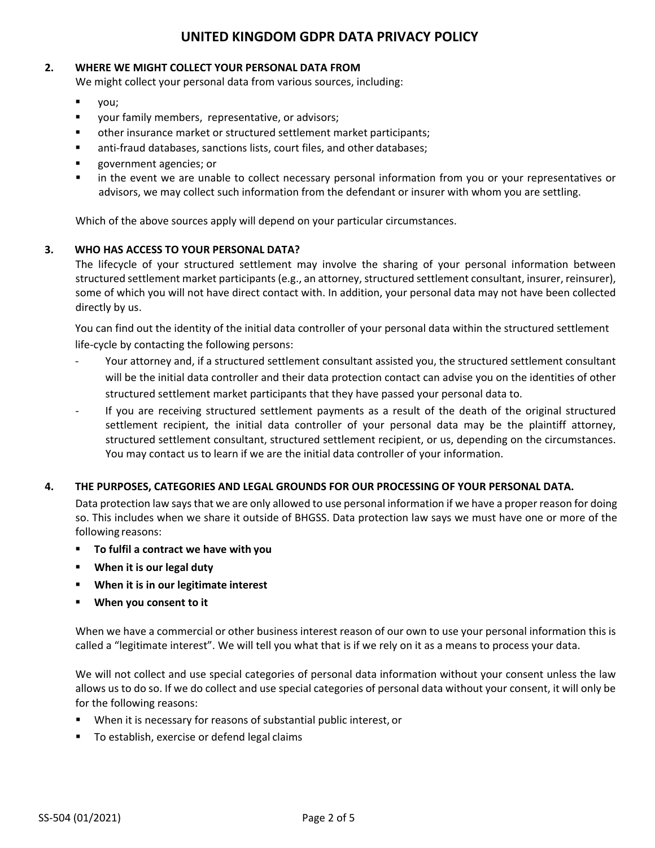## **2. WHERE WE MIGHT COLLECT YOUR PERSONAL DATA FROM**

We might collect your personal data from various sources, including:

- you;
- **The Stepart viable is verify than in Figure** viables with visors;
- other insurance market or structured settlement market participants;
- anti-fraud databases, sanctions lists, court files, and other databases;
- government agencies; or
- in the event we are unable to collect necessary personal information from you or your representatives or advisors, we may collect such information from the defendant or insurer with whom you are settling.

Which of the above sources apply will depend on your particular circumstances.

### **3. WHO HAS ACCESS TO YOUR PERSONAL DATA?**

The lifecycle of your structured settlement may involve the sharing of your personal information between structured settlement market participants (e.g., an attorney, structured settlement consultant, insurer, reinsurer), some of which you will not have direct contact with. In addition, your personal data may not have been collected directly by us.

You can find out the identity of the initial data controller of your personal data within the structured settlement life-cycle by contacting the following persons:

- Your attorney and, if a structured settlement consultant assisted you, the structured settlement consultant will be the initial data controller and their data protection contact can advise you on the identities of other structured settlement market participants that they have passed your personal data to.
- If you are receiving structured settlement payments as a result of the death of the original structured settlement recipient, the initial data controller of your personal data may be the plaintiff attorney, structured settlement consultant, structured settlement recipient, or us, depending on the circumstances. You may contact us to learn if we are the initial data controller of your information.

### **4. THE PURPOSES, CATEGORIES AND LEGAL GROUNDS FOR OUR PROCESSING OF YOUR PERSONAL DATA.**

Data protection law says that we are only allowed to use personal information if we have a proper reason for doing so. This includes when we share it outside of BHGSS. Data protection law says we must have one or more of the following reasons:

- **To fulfil a contract we have with you**
- **When it is our legal duty**
- **When it is in our legitimate interest**
- **When you consent to it**

When we have a commercial or other business interest reason of our own to use your personal information this is called a "legitimate interest". We will tell you what that is if we rely on it as a means to process your data.

We will not collect and use special categories of personal data information without your consent unless the law allows us to do so. If we do collect and use special categories of personal data without your consent, it will only be for the following reasons:

- When it is necessary for reasons of substantial public interest, or
- To establish, exercise or defend legal claims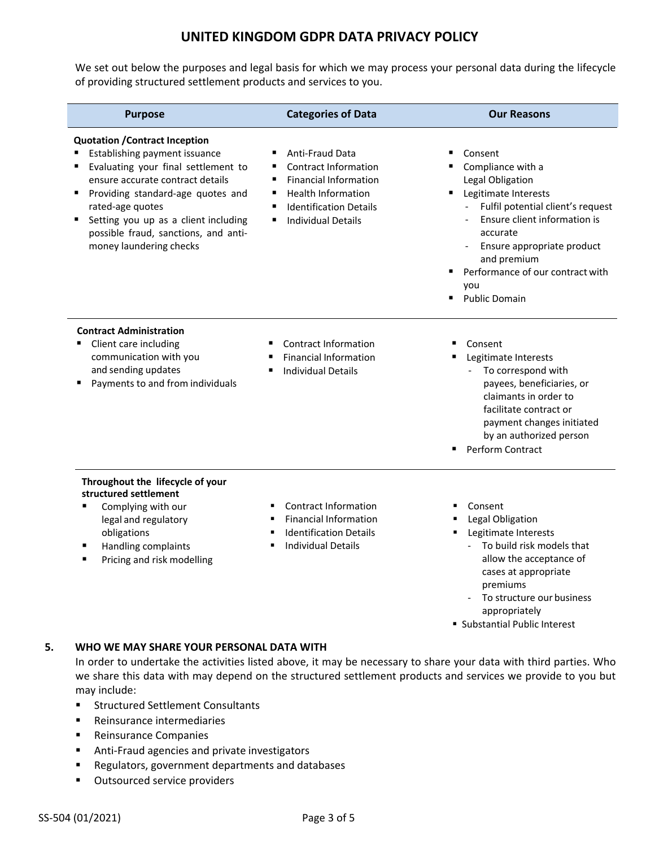We set out below the purposes and legal basis for which we may process your personal data during the lifecycle of providing structured settlement products and services to you.

| <b>Purpose</b>                                                                                                                                                                                                                                                                                                        | <b>Categories of Data</b>                                                                                                                                                                            | <b>Our Reasons</b>                                                                                                                                                                                                                                                        |
|-----------------------------------------------------------------------------------------------------------------------------------------------------------------------------------------------------------------------------------------------------------------------------------------------------------------------|------------------------------------------------------------------------------------------------------------------------------------------------------------------------------------------------------|---------------------------------------------------------------------------------------------------------------------------------------------------------------------------------------------------------------------------------------------------------------------------|
| <b>Quotation / Contract Inception</b><br>Establishing payment issuance<br>Evaluating your final settlement to<br>ensure accurate contract details<br>Providing standard-age quotes and<br>rated-age quotes<br>Setting you up as a client including<br>possible fraud, sanctions, and anti-<br>money laundering checks | <b>Anti-Fraud Data</b><br><b>Contract Information</b><br><b>Financial Information</b><br>٠<br><b>Health Information</b><br>٠<br><b>Identification Details</b><br>٠<br><b>Individual Details</b><br>٠ | Consent<br>Compliance with a<br>Legal Obligation<br>Legitimate Interests<br>Fulfil potential client's request<br>Ensure client information is<br>accurate<br>Ensure appropriate product<br>and premium<br>Performance of our contract with<br>you<br><b>Public Domain</b> |
| <b>Contract Administration</b><br>Client care including<br>communication with you<br>and sending updates<br>Payments to and from individuals                                                                                                                                                                          | Contract Information<br><b>Financial Information</b><br><b>Individual Details</b>                                                                                                                    | Consent<br>Legitimate Interests<br>To correspond with<br>payees, beneficiaries, or<br>claimants in order to<br>facilitate contract or<br>payment changes initiated<br>by an authorized person<br><b>Perform Contract</b>                                                  |
| Throughout the lifecycle of your<br>structured settlement<br>Complying with our<br>legal and regulatory<br>obligations<br>Handling complaints<br>Pricing and risk modelling                                                                                                                                           | <b>Contract Information</b><br><b>Financial Information</b><br><b>Identification Details</b><br><b>Individual Details</b>                                                                            | Consent<br>Legal Obligation<br>Legitimate Interests<br>٠<br>To build risk models that<br>allow the acceptance of<br>cases at appropriate<br>premiums                                                                                                                      |

- To structure our business appropriately
- Substantial Public Interest

## **5. WHO WE MAY SHARE YOUR PERSONAL DATA WITH**

In order to undertake the activities listed above, it may be necessary to share your data with third parties. Who we share this data with may depend on the structured settlement products and services we provide to you but may include:

- **EXECUTED Structured Settlement Consultants**
- Reinsurance intermediaries
- **Reinsurance Companies**
- **Anti-Fraud agencies and private investigators**
- **Regulators, government departments and databases**
- **•** Outsourced service providers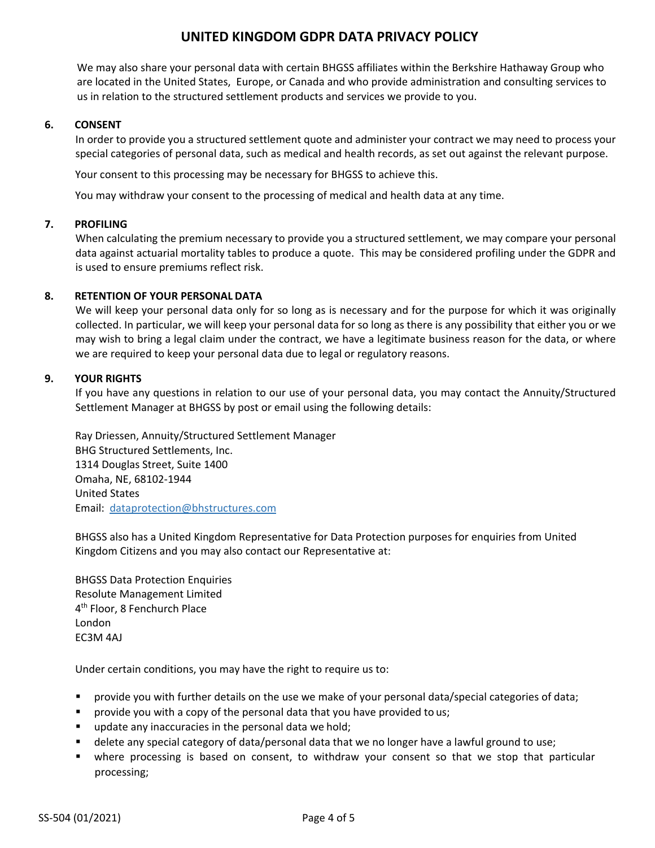We may also share your personal data with certain BHGSS affiliates within the Berkshire Hathaway Group who are located in the United States, Europe, or Canada and who provide administration and consulting services to us in relation to the structured settlement products and services we provide to you.

### **6. CONSENT**

In order to provide you a structured settlement quote and administer your contract we may need to process your special categories of personal data, such as medical and health records, as set out against the relevant purpose.

Your consent to this processing may be necessary for BHGSS to achieve this.

You may withdraw your consent to the processing of medical and health data at any time.

## **7. PROFILING**

When calculating the premium necessary to provide you a structured settlement, we may compare your personal data against actuarial mortality tables to produce a quote. This may be considered profiling under the GDPR and is used to ensure premiums reflect risk.

## **8. RETENTION OF YOUR PERSONAL DATA**

We will keep your personal data only for so long as is necessary and for the purpose for which it was originally collected. In particular, we will keep your personal data for so long as there is any possibility that either you or we may wish to bring a legal claim under the contract, we have a legitimate business reason for the data, or where we are required to keep your personal data due to legal or regulatory reasons.

### **9. YOUR RIGHTS**

If you have any questions in relation to our use of your personal data, you may contact the Annuity/Structured Settlement Manager at BHGSS by post or email using the following details:

Ray Driessen, Annuity/Structured Settlement Manager BHG Structured Settlements, Inc. 1314 Douglas Street, Suite 1400 Omaha, NE, 68102-1944 United States Email: dataprotection@bhstructures.com

BHGSS also has a United Kingdom Representative for Data Protection purposes for enquiries from United Kingdom Citizens and you may also contact our Representative at:

BHGSS Data Protection Enquiries Resolute Management Limited 4th Floor, 8 Fenchurch Place London EC3M 4AJ

Under certain conditions, you may have the right to require us to:

- provide you with further details on the use we make of your personal data/special categories of data;
- provide you with a copy of the personal data that you have provided to us;
- **update any inaccuracies in the personal data we hold;**
- delete any special category of data/personal data that we no longer have a lawful ground to use;
- where processing is based on consent, to withdraw your consent so that we stop that particular processing;